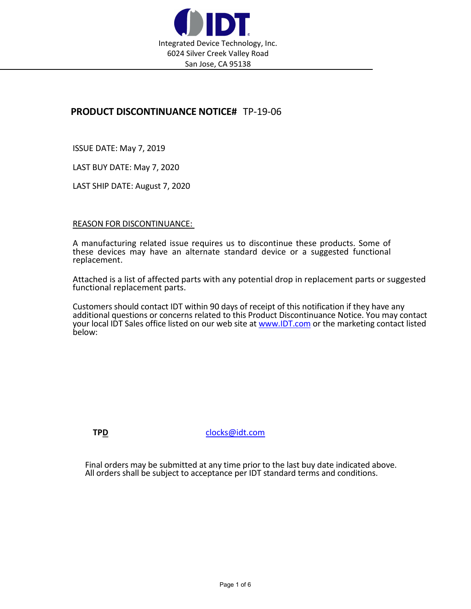

## PRODUCT DISCONTINUANCE NOTICE# TP-19-06

ISSUE DATE: May 7, 2019

LAST BUY DATE: May 7, 2020

LAST SHIP DATE: August 7, 2020

## REASON FOR DISCONTINUANCE:

A manufacturing related issue requires us to discontinue these products. Some of these devices may have an alternate standard device or a suggested functional replacement.

Attached is a list of affected parts with any potential drop in replacement parts or suggested functional replacement parts.

Customers should contact IDT within 90 days of receipt of this notification if they have any additional questions or concerns related to this Product Discontinuance Notice. You may contact your local IDT Sales office listed on our web site at www.IDT.com or the marketing contact listed below:

TPD clocks@idt.com

Final orders may be submitted at any time prior to the last buy date indicated above. All orders shall be subject to acceptance per IDT standard terms and conditions.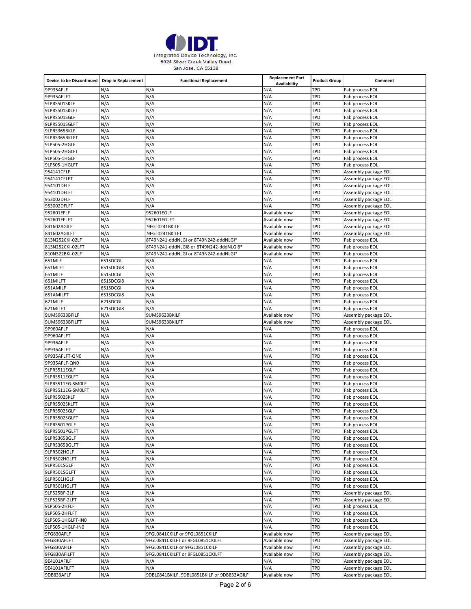

| Device to be Discontinued   Drop in Replacement |            | <b>Functional Replacement</b>                                      | <b>Replacement Part</b><br>Availability | <b>Product Group</b> | Comment                                      |
|-------------------------------------------------|------------|--------------------------------------------------------------------|-----------------------------------------|----------------------|----------------------------------------------|
| 9P935AFLF                                       | N/A        | N/A                                                                | N/A                                     | TPD                  | Fab process EOL                              |
| 9P935AFLFT                                      | N/A        | N/A                                                                | N/A                                     | TPD                  | Fab process EOL                              |
| 9LPRS501SKLF                                    | N/A        | N/A                                                                | N/A                                     | TPD                  | Fab process EOL                              |
| 9LPRS501SKLFT                                   | N/A        | N/A                                                                | N/A                                     | TPD                  | Fab process EOL                              |
| 9LPRS501SGLF                                    | N/A        | N/A                                                                | N/A                                     | TPD                  | Fab process EOL                              |
| 9LPRS501SGLFT                                   | N/A        | N/A                                                                | N/A                                     | TPD                  | Fab process EOL                              |
| 9LPRS365BKLF                                    | N/A        | N/A                                                                | N/A                                     | TPD                  | Fab process EOL                              |
| 9LPRS365BKLFT                                   | N/A        | N/A                                                                | N/A                                     | TPD                  | Fab process EOL                              |
| 9LP505-2HGLF                                    | N/A        | N/A                                                                | N/A                                     | TPD                  | Fab process EOL                              |
| 9LP505-2HGLFT                                   | N/A        | N/A                                                                | N/A<br>N/A                              | TPD<br>TPD           | Fab process EOL<br>Fab process EOL           |
| 9LP505-1HGLF                                    | N/A<br>N/A | N/A<br>N/A                                                         | N/A                                     | TPD                  | Fab process EOL                              |
| 9LP505-1HGLFT<br>954141CFLF                     | N/A        | N/A                                                                | N/A                                     | TPD                  |                                              |
| 954141CFLFT                                     | N/A        | N/A                                                                | N/A                                     | TPD                  | Assembly package EOL<br>Assembly package EOL |
| 954101DFLF                                      | N/A        | N/A                                                                | N/A                                     | TPD                  | Assembly package EOL                         |
| 954101DFLFT                                     | N/A        | N/A                                                                | N/A                                     | TPD                  | Assembly package EOL                         |
| 953002DFLF                                      | N/A        | N/A                                                                | N/A                                     | TPD                  | Assembly package EOL                         |
| 953002DFLFT                                     | N/A        | N/A                                                                | N/A                                     | TPD                  | Assembly package EOL                         |
| 952601EFLF                                      | N/A        | 952601EGLF                                                         | Available now                           | TPD                  | Assembly package EOL                         |
| 952601EFLFT                                     | N/A        | 952601EGLFT                                                        | Available now                           | TPD                  | Assembly package EOL                         |
| 841602AGILF                                     | N/A        | 9FGL0241BKILF                                                      | Available now                           | TPD                  | Assembly package EOL                         |
| 841602AGILFT                                    | N/A        | 9FGL0241BKILFT                                                     | Available now                           | TPD                  | Assembly package EOL                         |
| 813N252CKI-02LF                                 | N/A        | 8T49N241-dddNLGI or 8T49N242-dddNLGI*                              | Available now                           | TPD                  | Fab process EOL                              |
| 813N252CKI-02LFT                                | N/A        | 8T49N241-dddNLGI8 or 8T49N242-dddNLGI8*                            | Available now                           | TPD                  | Fab process EOL                              |
| 810N322BKI-02LF                                 | N/A        | 8T49N241-dddNLGI or 8T49N242-dddNLGI*                              | Available now                           | TPD                  | Fab process EOL                              |
| 651MLF                                          | 651SDCGI   | N/A                                                                | N/A                                     | TPD                  | Fab process EOL                              |
| 651MLFT                                         | 651SDCGI8  | N/A                                                                | N/A                                     | TPD                  | Fab process EOL                              |
| 651MILF                                         | 651SDCGI   | N/A                                                                | N/A                                     | TPD                  | Fab process EOL                              |
| 651MILFT                                        | 651SDCGI8  | N/A                                                                | N/A                                     | TPD                  | Fab process EOL                              |
| 651AMILF                                        | 651SDCGI   | N/A                                                                | N/A                                     | TPD                  | Fab process EOL                              |
| 651AMILFT                                       | 651SDCGI8  | N/A                                                                | N/A                                     | TPD                  | Fab process EOL                              |
| 621MILF                                         | 621SDCGI   | N/A                                                                | N/A                                     | TPD                  | Fab process EOL                              |
| 621MILFT                                        | 621SDCGI8  | N/A                                                                | N/A                                     | TPD                  | Fab process EOL                              |
| 9UMS9633BFILF                                   | N/A        | 9UMS9633BKILF                                                      | Available now                           | TPD                  | Assembly package EOL                         |
| 9UMS9633BFILFT                                  | N/A        | 9UMS9633BKILFT                                                     | Available now                           | TPD                  | Assembly package EOL                         |
| 9P960AFLF                                       | N/A        | N/A                                                                | N/A                                     | TPD                  | Fab process EOL                              |
| 9P960AFLFT                                      | N/A        | N/A                                                                | N/A                                     | TPD                  | Fab process EOL                              |
| 9P936AFLF                                       | N/A        | N/A                                                                | N/A                                     | TPD                  | Fab process EOL                              |
| 9P936AFLFT                                      | N/A        | N/A<br>N/A                                                         | N/A<br>N/A                              | TPD<br>TPD           | Fab process EOL                              |
| 9P935AFLFT-QN0<br>9P935AFLF-QN0                 | N/A<br>N/A | N/A                                                                | N/A                                     | TPD                  | Fab process EOL<br>Fab process EOL           |
| 9LPRS511EGLF                                    | N/A        | N/A                                                                | N/A                                     | TPD                  | Fab process EOL                              |
| 9LPRS511EGLFT                                   | N/A        | N/A                                                                | N/A                                     | TPD                  | Fab process EOL                              |
| 9LPRS511EG-SMOLF                                | N/A        | N/A                                                                | N/A                                     | TPD                  | Fab process EOL                              |
| 9LPRS511EG-SMOLFT                               | N/A        | N/A                                                                | N/A                                     | TPD                  | Fab process EOL                              |
| 9LPRS502SKLF                                    | N/A        | N/A                                                                | N/A                                     | TPD                  | Fab process EOL                              |
| 9LPRS502SKLFT                                   | N/A        | N/A                                                                | N/A                                     | TPD                  | Fab process EOL                              |
| 9LPRS502SGLF                                    | N/A        | N/A                                                                | N/A                                     | TPD                  | Fab process EOL                              |
| 9LPRS502SGLFT                                   | N/A        | N/A                                                                | N/A                                     | TPD                  | Fab process EOL                              |
| 9LPRS501PGLF                                    | N/A        | N/A                                                                | N/A                                     | TPD                  | Fab process EOL                              |
| 9LPRS501PGLFT                                   | N/A        | N/A                                                                | N/A                                     | TPD                  | Fab process EOL                              |
| 9LPRS365BGLF                                    | N/A        | N/A                                                                | N/A                                     | TPD                  | Fab process EOL                              |
| 9LPRS365BGLFT                                   | N/A        | N/A                                                                | N/A                                     | TPD                  | Fab process EOL                              |
| 9LPR502HGLF                                     | N/A        | N/A                                                                | N/A                                     | TPD                  | Fab process EOL                              |
| 9LPR502HGLFT                                    | N/A        | N/A                                                                | N/A                                     | TPD                  | Fab process EOL                              |
| 9LPR501SGLF                                     | N/A        | N/A                                                                | N/A                                     | TPD                  | Fab process EOL                              |
| 9LPR501SGLFT                                    | N/A        | N/A                                                                | N/A                                     | TPD                  | Fab process EOL                              |
| 9LPR501HGLF                                     | N/A        | N/A                                                                | N/A                                     | TPD                  | Fab process EOL                              |
| 9LPR501HGLFT                                    | N/A        | N/A                                                                | N/A                                     | TPD                  | Fab process EOL                              |
| 9LP525BF-2LF                                    | N/A        | N/A                                                                | N/A                                     | TPD                  | Assembly package EOL                         |
| 9LP525BF-2LFT                                   | N/A        | N/A                                                                | N/A                                     | TPD                  | Assembly package EOL                         |
| 9LP505-2HFLF                                    | N/A        | N/A                                                                | N/A                                     | TPD                  | Fab process EOL                              |
| 9LP505-2HFLFT                                   | N/A        | N/A                                                                | N/A                                     | TPD                  | Fab process EOL                              |
| 9LP505-1HGLFT-IN0                               | N/A        | N/A                                                                | N/A                                     | TPD                  | Fab process EOL                              |
| 9LP505-1HGLF-INO                                | N/A        | N/A                                                                | N/A                                     | TPD                  | Fab process EOL                              |
| 9FG830AFLF<br>9FG830AFLFT                       | N/A<br>N/A | 9FGL0841CKILF or 9FGL0851CKILF<br>9FGL0841CKILFT or 9FGL0851CKILFT | Available now<br>Available now          | TPD<br>TPD           | Assembly package EOL<br>Assembly package EOL |
| 9FG830AFILF                                     | N/A        | 9FGL0841CKILF or 9FGL0851CKILF                                     | Available now                           | TPD                  | Assembly package EOL                         |
| 9FG830AFILFT                                    | N/A        | 9FGL0841CKILFT or 9FGL0851CKILFT                                   | Available now                           | TPD                  | Assembly package EOL                         |
| 9E4101AFILF                                     | N/A        | N/A                                                                | N/A                                     | TPD                  | Assembly package EOL                         |
| 9E4101AFILFT                                    | N/A        | N/A                                                                | N/A                                     | TPD                  | Assembly package EOL                         |
| 9DB833AFLF                                      | N/A        | 9DBL0841BKILF, 9DBL0851BKILF or 9DB833AGILF                        | Available now                           | TPD                  | Assembly package EOL                         |
|                                                 |            |                                                                    |                                         |                      |                                              |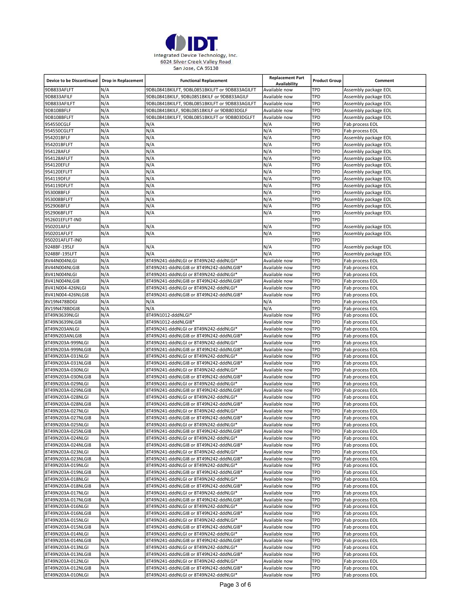

| <b>Device to be Discontinued</b>        | <b>Drop in Replacement</b> | <b>Functional Replacement</b>                                                    | <b>Replacement Part</b><br>Availability | <b>Product Group</b> | Comment                                      |
|-----------------------------------------|----------------------------|----------------------------------------------------------------------------------|-----------------------------------------|----------------------|----------------------------------------------|
| 9DB833AFLFT                             | N/A                        | 9DBL0841BKILFT, 9DBL0851BKILFT or 9DB833AGILFT                                   | Available now                           | TPD                  | Assembly package EOL                         |
| 9DB833AFILF                             | N/A                        | 9DBL0841BKILF, 9DBL0851BKILF or 9DB833AGILF                                      | Available now                           | TPD                  | Assembly package EOL                         |
| 9DB833AFILFT                            | N/A                        | 9DBL0841BKILFT, 9DBL0851BKILFT or 9DB833AGILFT                                   | Available now                           | TPD                  | Assembly package EOL                         |
| 9DB108BFLF                              | N/A                        | 9DBL0841BKILF, 9DBL0851BKILF or 9DB803DGLF                                       | Available now                           | TPD                  | Assembly package EOL                         |
| 9DB108BFLFT                             | N/A                        | 9DBL0841BKILFT, 9DBL0851BKILFT or 9DB803DGLFT                                    | Available now                           | TPD                  | Assembly package EOL                         |
| 954550CGLF                              | N/A                        | N/A                                                                              | N/A                                     | TPD                  | Fab process EOL                              |
| 954550CGLFT                             | N/A                        | N/A                                                                              | N/A                                     | TPD                  | Fab process EOL                              |
| 954201BFLF                              | N/A                        | N/A                                                                              | N/A                                     | TPD                  | Assembly package EOL                         |
| 954201BFLFT                             | N/A                        | N/A                                                                              | N/A                                     | TPD                  | Assembly package EOL                         |
| 954128AFLF                              | N/A                        | N/A                                                                              | N/A                                     | TPD                  | Assembly package EOL                         |
| 954128AFLFT<br>954120EFLF               | N/A<br>N/A                 | N/A<br>N/A                                                                       | N/A<br>N/A                              | TPD<br>TPD           | Assembly package EOL                         |
| 954120EFLFT                             | N/A                        | N/A                                                                              | N/A                                     | TPD                  | Assembly package EOL<br>Assembly package EOL |
| 954119DFLF                              | N/A                        | N/A                                                                              | N/A                                     | TPD                  | Assembly package EOL                         |
| 954119DFLFT                             | N/A                        | N/A                                                                              | N/A                                     | TPD                  | Assembly package EOL                         |
| 953008BFLF                              | N/A                        | N/A                                                                              | N/A                                     | TPD                  | Assembly package EOL                         |
| 953008BFLFT                             | N/A                        | N/A                                                                              | N/A                                     | TPD                  | Assembly package EOL                         |
| 952906BFLF                              | N/A                        | N/A                                                                              | N/A                                     | TPD                  | Assembly package EOL                         |
| 952906BFLFT                             | N/A                        | N/A                                                                              | N/A                                     | TPD                  | Assembly package EOL                         |
| 952601EFLFT-IN0                         |                            |                                                                                  |                                         | TPD                  |                                              |
| 950201AFLF                              | N/A                        | N/A                                                                              | N/A                                     | TPD                  | Assembly package EOL                         |
| 950201AFLFT                             | N/A                        | N/A                                                                              | N/A                                     | TPD                  | Assembly package EOL                         |
| 950201AFLFT-IN0                         |                            |                                                                                  |                                         | TPD                  |                                              |
| 9248BF-195LF                            | N/A                        | N/A                                                                              | N/A                                     | TPD                  | Assembly package EOL                         |
| 9248BF-195LFT                           | N/A                        | N/A                                                                              | N/A                                     | TPD                  | Assembly package EOL                         |
| 8V44N004NLGI                            | N/A                        | 8T49N241-dddNLGI or 8T49N242-dddNLGI*                                            | Available now                           | TPD                  | Fab process EOL                              |
| 8V44N004NLGI8                           | N/A                        | 8T49N241-dddNLGI8 or 8T49N242-dddNLGI8*                                          | Available now                           | TPD                  | Fab process EOL                              |
| 8V41N004NLGI                            | N/A                        | 8T49N241-dddNLGI or 8T49N242-dddNLGI*                                            | Available now                           | TPD                  | Fab process EOL                              |
| 8V41N004NLGI8                           | N/A                        | 8T49N241-dddNLGI8 or 8T49N242-dddNLGI8*                                          | Available now                           | TPD                  | Fab process EOL                              |
| 8V41N004-426NLGI                        | N/A<br>N/A                 | 8T49N241-dddNLGI or 8T49N242-dddNLGI*                                            | Available now                           | TPD<br>TPD           | Fab process EOL                              |
| 8V41N004-426NLGI8<br>8V19N478BDGI       | N/A                        | 8T49N241-dddNLGI8 or 8T49N242-dddNLGI8*<br>N/A                                   | Available now<br>N/A                    | TPD                  | Fab process EOL<br>Fab process EOL           |
| 8V19N478BDGI8                           | N/A                        | N/A                                                                              | N/A                                     | TPD                  | Fab process EOL                              |
| 8T49N3639NLGI                           | N/A                        | 8T49N1012-dddNLGI*                                                               | Available now                           | TPD                  | Fab process EOL                              |
| 8T49N3639NLGI8                          | N/A                        | 8T49N1012-dddNLGI8*                                                              | Available now                           | TPD                  | Fab process EOL                              |
| 8T49N203ANLGI                           | N/A                        | 8T49N241-dddNLGI or 8T49N242-dddNLGI*                                            | Available now                           | TPD                  | Fab process EOL                              |
| 8T49N203ANLGI8                          | N/A                        | 8T49N241-dddNLGI8 or 8T49N242-dddNLGI8*                                          | Available now                           | TPD                  | Fab process EOL                              |
| 8T49N203A-999NLGI                       | N/A                        | 8T49N241-dddNLGI or 8T49N242-dddNLGI*                                            | Available now                           | TPD                  | Fab process EOL                              |
| 8T49N203A-999NLGI8                      | N/A                        | 8T49N241-dddNLGI8 or 8T49N242-dddNLGI8*                                          | Available now                           | TPD                  | Fab process EOL                              |
| 8T49N203A-031NLGI                       | N/A                        | 8T49N241-dddNLGI or 8T49N242-dddNLGI*                                            | Available now                           | TPD                  | Fab process EOL                              |
| 8T49N203A-031NLGI8                      | N/A                        | 8T49N241-dddNLGI8 or 8T49N242-dddNLGI8*                                          | Available now                           | TPD                  | Fab process EOL                              |
| 8T49N203A-030NLGI                       | N/A                        | 8T49N241-dddNLGI or 8T49N242-dddNLGI*                                            | Available now                           | TPD                  | Fab process EOL                              |
| 8T49N203A-030NLGI8                      | N/A                        | 8T49N241-dddNLGI8 or 8T49N242-dddNLGI8*                                          | Available now                           | TPD                  | Fab process EOL                              |
| 8T49N203A-029NLGI                       | N/A                        | 8T49N241-dddNLGI or 8T49N242-dddNLGI*                                            | Available now                           | TPD                  | Fab process EOL                              |
| 8T49N203A-029NLGI8                      | N/A                        | 8T49N241-dddNLGI8 or 8T49N242-dddNLGI8*                                          | Available now                           | TPD                  | Fab process EOL                              |
| 8T49N203A-028NLGI                       | N/A                        | 8T49N241-dddNLGI or 8T49N242-dddNLGI*                                            | Available now                           | TPD                  | Fab process EOL                              |
| 8T49N203A-028NLGI8<br>8T49N203A-027NLGI | N/A<br>N/A                 | 8T49N241-dddNLGI8 or 8T49N242-dddNLGI8*                                          | Available now                           | TPD<br>TPD           | Fab process EOL                              |
| 8T49N203A-027NLGI8                      | N/A                        | 8T49N241-dddNLGI or 8T49N242-dddNLGI*<br>8T49N241-dddNLGI8 or 8T49N242-dddNLGI8* | Available now                           | TPD                  | Fab process EOL<br>Fab process EOL           |
| 8T49N203A-025NLGI                       | N/A                        | 8T49N241-dddNLGI or 8T49N242-dddNLGI*                                            | Available now<br>Available now          | TPD                  | Fab process EOL                              |
| 8T49N203A-025NLGI8                      | N/A                        | 8T49N241-dddNLGI8 or 8T49N242-dddNLGI8*                                          | Available now                           | TPD                  | Fab process EOL                              |
| 8T49N203A-024NLGI                       | N/A                        | 8T49N241-dddNLGI or 8T49N242-dddNLGI*                                            | Available now                           | TPD                  | Fab process EOL                              |
| 8T49N203A-024NLGI8                      | N/A                        | 8T49N241-dddNLGI8 or 8T49N242-dddNLGI8*                                          | Available now                           | TPD                  | Fab process EOL                              |
| 8T49N203A-023NLGI                       | N/A                        | 8T49N241-dddNLGI or 8T49N242-dddNLGI*                                            | Available now                           | TPD                  | Fab process EOL                              |
| 8T49N203A-023NLGI8                      | N/A                        | 8T49N241-dddNLGI8 or 8T49N242-dddNLGI8*                                          | Available now                           | TPD                  | Fab process EOL                              |
| 8T49N203A-019NLGI                       | N/A                        | 8T49N241-dddNLGI or 8T49N242-dddNLGI*                                            | Available now                           | TPD                  | Fab process EOL                              |
| 8T49N203A-019NLGI8                      | N/A                        | 8T49N241-dddNLGI8 or 8T49N242-dddNLGI8*                                          | Available now                           | TPD                  | Fab process EOL                              |
| 8T49N203A-018NLGI                       | N/A                        | 8T49N241-dddNLGI or 8T49N242-dddNLGI*                                            | Available now                           | TPD                  | Fab process EOL                              |
| 8T49N203A-018NLGI8                      | N/A                        | 8T49N241-dddNLGI8 or 8T49N242-dddNLGI8*                                          | Available now                           | TPD                  | Fab process EOL                              |
| 8T49N203A-017NLGI                       | N/A                        | 8T49N241-dddNLGI or 8T49N242-dddNLGI*                                            | Available now                           | TPD                  | Fab process EOL                              |
| 8T49N203A-017NLGI8                      | N/A                        | 8T49N241-dddNLGI8 or 8T49N242-dddNLGI8*                                          | Available now                           | TPD                  | Fab process EOL                              |
| 8T49N203A-016NLGI                       | N/A                        | 8T49N241-dddNLGI or 8T49N242-dddNLGI*                                            | Available now                           | TPD                  | Fab process EOL                              |
| 8T49N203A-016NLGI8                      | N/A                        | 8T49N241-dddNLGI8 or 8T49N242-dddNLGI8*                                          | Available now                           | TPD                  | Fab process EOL                              |
| 8T49N203A-015NLGI                       | N/A                        | 8T49N241-dddNLGI or 8T49N242-dddNLGI*                                            | Available now                           | TPD                  | Fab process EOL                              |
| 8T49N203A-015NLGI8                      | N/A                        | 8T49N241-dddNLGI8 or 8T49N242-dddNLGI8*                                          | Available now                           | TPD<br>TPD           | Fab process EOL                              |
| 8T49N203A-014NLGI<br>8T49N203A-014NLGI8 | N/A<br>N/A                 | 8T49N241-dddNLGI or 8T49N242-dddNLGI*<br>8T49N241-dddNLGI8 or 8T49N242-dddNLGI8* | Available now<br>Available now          | TPD                  | Fab process EOL<br>Fab process EOL           |
| 8T49N203A-013NLGI                       | N/A                        | 8T49N241-dddNLGI or 8T49N242-dddNLGI*                                            | Available now                           | TPD                  | Fab process EOL                              |
| 8T49N203A-013NLGI8                      | N/A                        | 8T49N241-dddNLGI8 or 8T49N242-dddNLGI8*                                          | Available now                           | TPD                  | Fab process EOL                              |
| 8T49N203A-012NLGI                       | N/A                        | 8T49N241-dddNLGI or 8T49N242-dddNLGI*                                            | Available now                           | TPD                  | Fab process EOL                              |
| 8T49N203A-012NLGI8                      | N/A                        | 8T49N241-dddNLGI8 or 8T49N242-dddNLGI8*                                          | Available now                           | TPD                  | Fab process EOL                              |
| 8T49N203A-010NLGI                       | N/A                        | 8T49N241-dddNLGI or 8T49N242-dddNLGI*                                            | Available now                           | TPD                  | Fab process EOL                              |
|                                         |                            |                                                                                  |                                         |                      |                                              |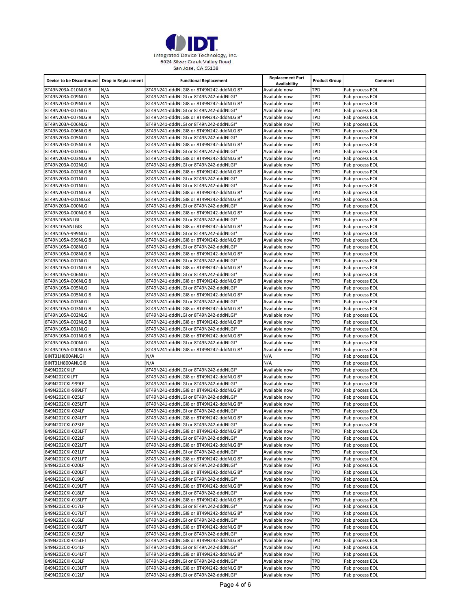

| <b>Device to be Discontinued</b>        | <b>Drop in Replacement</b> | <b>Functional Replacement</b>                                                    | <b>Replacement Part</b><br>Availability | <b>Product Group</b> | Comment                            |
|-----------------------------------------|----------------------------|----------------------------------------------------------------------------------|-----------------------------------------|----------------------|------------------------------------|
| 8T49N203A-010NLGI8                      | N/A                        | 8T49N241-dddNLGI8 or 8T49N242-dddNLGI8*                                          | Available now                           | TPD                  | Fab process EOL                    |
| 8T49N203A-009NLGI                       | N/A                        | 8T49N241-dddNLGI or 8T49N242-dddNLGI*                                            | Available now                           | TPD                  | Fab process EOL                    |
| 8T49N203A-009NLGI8                      | N/A                        | 8T49N241-dddNLGI8 or 8T49N242-dddNLGI8*                                          | Available now                           | TPD                  | Fab process EOL                    |
| 8T49N203A-007NLGI                       | N/A                        | 8T49N241-dddNLGI or 8T49N242-dddNLGI*                                            | Available now                           | TPD                  | Fab process EOL                    |
| 8T49N203A-007NLGI8                      | N/A                        | 8T49N241-dddNLGI8 or 8T49N242-dddNLGI8*                                          | Available now                           | TPD                  | Fab process EOL                    |
| 8T49N203A-006NLGI                       | N/A                        | 8T49N241-dddNLGI or 8T49N242-dddNLGI*                                            | Available now                           | TPD                  | Fab process EOL                    |
| 8T49N203A-006NLGI8                      | N/A                        | 8T49N241-dddNLGI8 or 8T49N242-dddNLGI8*                                          | Available now                           | TPD                  | Fab process EOL                    |
| 8T49N203A-005NLGI                       | N/A                        | 8T49N241-dddNLGI or 8T49N242-dddNLGI*                                            | Available now                           | TPD                  | Fab process EOL                    |
| 8T49N203A-005NLGI8                      | N/A                        | 8T49N241-dddNLGI8 or 8T49N242-dddNLGI8*                                          | Available now                           | TPD                  | Fab process EOL                    |
| 8T49N203A-003NLGI                       | N/A                        | 8T49N241-dddNLGI or 8T49N242-dddNLGI*                                            | Available now                           | TPD                  | Fab process EOL                    |
| 8T49N203A-003NLGI8                      | N/A                        | 8T49N241-dddNLGI8 or 8T49N242-dddNLGI8*                                          | Available now                           | TPD                  | Fab process EOL                    |
| 8T49N203A-002NLGI                       | N/A                        | 8T49N241-dddNLGI or 8T49N242-dddNLGI*                                            | Available now                           | TPD                  | Fab process EOL                    |
| 8T49N203A-002NLGI8                      | N/A                        | 8T49N241-dddNLGI8 or 8T49N242-dddNLGI8*                                          | Available now                           | TPD                  | Fab process EOL                    |
| 8T49N203A-001NLG                        | N/A                        | 8T49N241-dddNLGI or 8T49N242-dddNLGI*                                            | Available now                           | TPD                  | Fab process EOL                    |
| 8T49N203A-001NLGI                       | N/A                        | 8T49N241-dddNLGI or 8T49N242-dddNLGI*                                            | Available now                           | TPD                  | Fab process EOL                    |
| 8T49N203A-001NLGI8                      | N/A                        | 8T49N241-dddNLGI8 or 8T49N242-dddNLGI8*                                          | Available now                           | TPD                  | Fab process EOL                    |
| 8T49N203A-001NLG8                       | N/A<br>N/A                 | 8T49N241-dddNLGI8 or 8T49N242-dddNLGI8*                                          | Available now                           | TPD<br>TPD           | Fab process EOL                    |
| 8T49N203A-000NLGI<br>8T49N203A-000NLGI8 | N/A                        | 8T49N241-dddNLGI or 8T49N242-dddNLGI*<br>8T49N241-dddNLGI8 or 8T49N242-dddNLGI8* | Available now<br>Available now          | TPD                  | Fab process EOL<br>Fab process EOL |
| 8T49N105ANLGI                           | N/A                        | 8T49N241-dddNLGI or 8T49N242-dddNLGI*                                            | Available now                           | TPD                  | Fab process EOL                    |
| 8T49N105ANLGI8                          | N/A                        | 8T49N241-dddNLGI8 or 8T49N242-dddNLGI8*                                          | Available now                           | TPD                  | Fab process EOL                    |
| 8T49N105A-999NLGI                       | N/A                        | 8T49N241-dddNLGI or 8T49N242-dddNLGI*                                            | Available now                           | TPD                  | Fab process EOL                    |
| 8T49N105A-999NLGI8                      | N/A                        | 8T49N241-dddNLGI8 or 8T49N242-dddNLGI8*                                          | Available now                           | TPD                  | Fab process EOL                    |
| 8T49N105A-008NLGI                       | N/A                        | 8T49N241-dddNLGI or 8T49N242-dddNLGI*                                            | Available now                           | TPD                  | Fab process EOL                    |
| 8T49N105A-008NLGI8                      | N/A                        | 8T49N241-dddNLGI8 or 8T49N242-dddNLGI8*                                          | Available now                           | TPD                  | Fab process EOL                    |
| 8T49N105A-007NLGI                       | N/A                        | 8T49N241-dddNLGI or 8T49N242-dddNLGI*                                            | Available now                           | TPD                  | Fab process EOL                    |
| 8T49N105A-007NLGI8                      | N/A                        | 8T49N241-dddNLGI8 or 8T49N242-dddNLGI8*                                          | Available now                           | TPD                  | Fab process EOL                    |
| 8T49N105A-006NLGI                       | N/A                        | 8T49N241-dddNLGI or 8T49N242-dddNLGI*                                            | Available now                           | TPD                  | Fab process EOL                    |
| 8T49N105A-006NLGI8                      | N/A                        | 8T49N241-dddNLGI8 or 8T49N242-dddNLGI8*                                          | Available now                           | TPD                  | Fab process EOL                    |
| 8T49N105A-005NLGI                       | N/A                        | 8T49N241-dddNLGI or 8T49N242-dddNLGI*                                            | Available now                           | TPD                  | Fab process EOL                    |
| 8T49N105A-005NLGI8                      | N/A                        | 8T49N241-dddNLGI8 or 8T49N242-dddNLGI8*                                          | Available now                           | TPD                  | Fab process EOL                    |
| 8T49N105A-003NLGI                       | N/A                        | 8T49N241-dddNLGI or 8T49N242-dddNLGI*                                            | Available now                           | TPD                  | Fab process EOL                    |
| 8T49N105A-003NLGI8                      | N/A                        | 8T49N241-dddNLGI8 or 8T49N242-dddNLGI8*                                          | Available now                           | TPD                  | Fab process EOL                    |
| 8T49N105A-002NLGI                       | N/A                        | 8T49N241-dddNLGI or 8T49N242-dddNLGI*                                            | Available now                           | TPD                  | Fab process EOL                    |
| 8T49N105A-002NLGI8                      | N/A                        | 8T49N241-dddNLGI8 or 8T49N242-dddNLGI8*                                          | Available now                           | TPD                  | Fab process EOL                    |
| 8T49N105A-001NLGI                       | N/A                        | 8T49N241-dddNLGI or 8T49N242-dddNLGI*                                            | Available now                           | TPD                  | Fab process EOL                    |
| 8T49N105A-001NLGI8                      | N/A                        | 8T49N241-dddNLGI8 or 8T49N242-dddNLGI8*                                          | Available now                           | TPD                  | Fab process EOL                    |
| 8T49N105A-000NLGI                       | N/A                        | 8T49N241-dddNLGI or 8T49N242-dddNLGI*                                            | Available now                           | TPD                  | Fab process EOL                    |
| 8T49N105A-000NLGI8                      | N/A                        | 8T49N241-dddNLGI8 or 8T49N242-dddNLGI8*                                          | Available now                           | TPD                  | Fab process EOL                    |
| 8INT31H800ANLGI                         | N/A                        | N/A                                                                              | N/A                                     | TPD                  | Fab process EOL                    |
| 8INT31H800ANLGI8                        | N/A<br>N/A                 | N/A                                                                              | N/A                                     | TPD<br>TPD           | Fab process EOL                    |
| 849N202CKILF<br>849N202CKILFT           | N/A                        | 8T49N241-dddNLGI or 8T49N242-dddNLGI*<br>8T49N241-dddNLGI8 or 8T49N242-dddNLGI8* | Available now<br>Available now          | TPD                  | Fab process EOL<br>Fab process EOL |
| 849N202CKI-999LF                        | N/A                        | 8T49N241-dddNLGI or 8T49N242-dddNLGI*                                            | Available now                           | TPD                  | Fab process EOL                    |
| 849N202CKI-999LFT                       | N/A                        | 8T49N241-dddNLGI8 or 8T49N242-dddNLGI8*                                          | Available now                           | TPD                  | Fab process EOL                    |
| 849N202CKI-025LF                        | N/A                        | 8T49N241-dddNLGI or 8T49N242-dddNLGI*                                            | Available now                           | TPD                  | Fab process EOL                    |
| 849N202CKI-025LFT                       | N/A                        | 8T49N241-dddNLGI8 or 8T49N242-dddNLGI8*                                          | Available now                           | TPD                  | Fab process EOL                    |
| 849N202CKI-024LF                        | N/A                        | 8T49N241-dddNLGI or 8T49N242-dddNLGI*                                            | Available now                           | TPD                  | Fab process EOL                    |
| 849N202CKI-024LFT                       | N/A                        | 8T49N241-dddNLGI8 or 8T49N242-dddNLGI8*                                          | Available now                           | TPD                  | Fab process EOL                    |
| 849N202CKI-023LF                        | N/A                        | 8T49N241-dddNLGI or 8T49N242-dddNLGI*                                            | Available now                           | TPD                  | Fab process EOL                    |
| 849N202CKI-023LFT                       | N/A                        | 8T49N241-dddNLGI8 or 8T49N242-dddNLGI8*                                          | Available now                           | TPD                  | Fab process EOL                    |
| 849N202CKI-022LF                        | N/A                        | 8T49N241-dddNLGI or 8T49N242-dddNLGI*                                            | Available now                           | TPD                  | Fab process EOL                    |
| 849N202CKI-022LFT                       | N/A                        | 8T49N241-dddNLGI8 or 8T49N242-dddNLGI8*                                          | Available now                           | TPD                  | Fab process EOL                    |
| 849N202CKI-021LF                        | N/A                        | 8T49N241-dddNLGI or 8T49N242-dddNLGI*                                            | Available now                           | TPD                  | Fab process EOL                    |
| 849N202CKI-021LFT                       | N/A                        | 8T49N241-dddNLGI8 or 8T49N242-dddNLGI8*                                          | Available now                           | TPD                  | Fab process EOL                    |
| 849N202CKI-020LF                        | N/A                        | 8T49N241-dddNLGI or 8T49N242-dddNLGI*                                            | Available now                           | TPD                  | Fab process EOL                    |
| 849N202CKI-020LFT                       | N/A                        | 8T49N241-dddNLGI8 or 8T49N242-dddNLGI8*                                          | Available now                           | TPD                  | Fab process EOL                    |
| 849N202CKI-019LF                        | N/A                        | 8T49N241-dddNLGI or 8T49N242-dddNLGI*                                            | Available now                           | TPD                  | Fab process EOL                    |
| 849N202CKI-019LFT                       | N/A                        | 8T49N241-dddNLGI8 or 8T49N242-dddNLGI8*                                          | Available now                           | TPD                  | Fab process EOL                    |
| 849N202CKI-018LF                        | N/A                        | 8T49N241-dddNLGI or 8T49N242-dddNLGI*                                            | Available now                           | TPD                  | Fab process EOL                    |
| 849N202CKI-018LFT                       | N/A                        | 8T49N241-dddNLGI8 or 8T49N242-dddNLGI8*                                          | Available now                           | TPD                  | Fab process EOL                    |
| 849N202CKI-017LF                        | N/A                        | 8T49N241-dddNLGI or 8T49N242-dddNLGI*                                            | Available now                           | TPD                  | Fab process EOL                    |
| 849N202CKI-017LFT                       | N/A                        | 8T49N241-dddNLGI8 or 8T49N242-dddNLGI8*                                          | Available now                           | TPD                  | Fab process EOL                    |
| 849N202CKI-016LF                        | N/A<br>N/A                 | 8T49N241-dddNLGI or 8T49N242-dddNLGI*                                            | Available now                           | TPD<br>TPD           | Fab process EOL<br>Fab process EOL |
| 849N202CKI-016LFT<br>849N202CKI-015LF   | N/A                        | 8T49N241-dddNLGI8 or 8T49N242-dddNLGI8*<br>8T49N241-dddNLGI or 8T49N242-dddNLGI* | Available now<br>Available now          | TPD                  | Fab process EOL                    |
| 849N202CKI-015LFT                       | N/A                        | 8T49N241-dddNLGI8 or 8T49N242-dddNLGI8*                                          | Available now                           | TPD                  | Fab process EOL                    |
| 849N202CKI-014LF                        | N/A                        | 8T49N241-dddNLGI or 8T49N242-dddNLGI*                                            | Available now                           | TPD                  | Fab process EOL                    |
| 849N202CKI-014LFT                       | N/A                        | 8T49N241-dddNLGI8 or 8T49N242-dddNLGI8*                                          | Available now                           | TPD                  | Fab process EOL                    |
| 849N202CKI-013LF                        | N/A                        | 8T49N241-dddNLGI or 8T49N242-dddNLGI*                                            | Available now                           | TPD                  | Fab process EOL                    |
| 849N202CKI-013LFT                       | N/A                        | 8T49N241-dddNLGI8 or 8T49N242-dddNLGI8*                                          | Available now                           | TPD                  | Fab process EOL                    |
| 849N202CKI-012LF                        | N/A                        | 8T49N241-dddNLGI or 8T49N242-dddNLGI*                                            | Available now                           | TPD                  | Fab process EOL                    |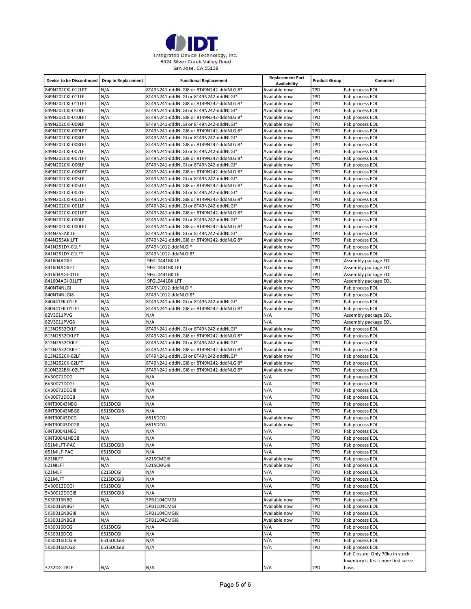

| <b>Device to be Discontinued</b> | <b>Drop in Replacement</b> | <b>Functional Replacement</b>           | <b>Replacement Part</b><br>Availability | <b>Product Group</b> | Comment                             |
|----------------------------------|----------------------------|-----------------------------------------|-----------------------------------------|----------------------|-------------------------------------|
| 849N202CKI-012LFT                | N/A                        | 8T49N241-dddNLGI8 or 8T49N242-dddNLGI8* | Available now                           | TPD                  | Fab process EOL                     |
| 849N202CKI-011LF                 | N/A                        | 8T49N241-dddNLGI or 8T49N242-dddNLGI*   | Available now                           | TPD                  | Fab process EOL                     |
| 849N202CKI-011LFT                | N/A                        | 8T49N241-dddNLGI8 or 8T49N242-dddNLGI8* | Available now                           | TPD                  | Fab process EOL                     |
| 849N202CKI-010LF                 | N/A                        | 8T49N241-dddNLGI or 8T49N242-dddNLGI*   | Available now                           | TPD                  | Fab process EOL                     |
| 849N202CKI-010LFT                | N/A                        | 8T49N241-dddNLGI8 or 8T49N242-dddNLGI8* | Available now                           | TPD                  | Fab process EOL                     |
| 849N202CKI-009LF                 | N/A                        | 8T49N241-dddNLGI or 8T49N242-dddNLGI*   | Available now                           | TPD                  | Fab process EOL                     |
| 849N202CKI-009LFT                | N/A                        | 8T49N241-dddNLGI8 or 8T49N242-dddNLGI8* | Available now                           | TPD                  | Fab process EOL                     |
| 849N202CKI-008LF                 | N/A                        | 8T49N241-dddNLGI or 8T49N242-dddNLGI*   | Available now                           | TPD                  | Fab process EOL                     |
| 849N202CKI-008LFT                | N/A                        | 8T49N241-dddNLGI8 or 8T49N242-dddNLGI8* | Available now                           | TPD                  | Fab process EOL                     |
| 849N202CKI-007LF                 | N/A                        | 8T49N241-dddNLGI or 8T49N242-dddNLGI*   | Available now                           | TPD                  | Fab process EOL                     |
| 849N202CKI-007LFT                | N/A                        | 8T49N241-dddNLGI8 or 8T49N242-dddNLGI8* | Available now                           | TPD                  | Fab process EOL                     |
| 849N202CKI-006LF                 | N/A                        | 8T49N241-dddNLGI or 8T49N242-dddNLGI*   | Available now                           | TPD                  | Fab process EOL                     |
| 849N202CKI-006LFT                | N/A                        | 8T49N241-dddNLGI8 or 8T49N242-dddNLGI8* | Available now                           | TPD                  | Fab process EOL                     |
| 849N202CKI-005LF                 | N/A                        | 8T49N241-dddNLGI or 8T49N242-dddNLGI*   | Available now                           | TPD                  | Fab process EOL                     |
| 849N202CKI-005LFT                | N/A                        | 8T49N241-dddNLGI8 or 8T49N242-dddNLGI8* | Available now                           | TPD                  | Fab process EOL                     |
| 849N202CKI-002LF                 | N/A                        | 8T49N241-dddNLGI or 8T49N242-dddNLGI*   | Available now                           | TPD                  | Fab process EOL                     |
|                                  |                            |                                         |                                         |                      |                                     |
| 849N202CKI-002LFT                | N/A                        | 8T49N241-dddNLGI8 or 8T49N242-dddNLGI8* | Available now                           | TPD                  | Fab process EOL                     |
| 849N202CKI-001LF                 | N/A                        | 8T49N241-dddNLGI or 8T49N242-dddNLGI*   | Available now                           | TPD                  | Fab process EOL                     |
| 849N202CKI-001LFT                | N/A                        | 8T49N241-dddNLGI8 or 8T49N242-dddNLGI8* | Available now                           | TPD                  | Fab process EOL                     |
| 849N202CKI-000LF                 | N/A                        | 8T49N241-dddNLGI or 8T49N242-dddNLGI*   | Available now                           | TPD                  | Fab process EOL                     |
| 849N202CKI-000LFT                | N/A                        | 8T49N241-dddNLGI8 or 8T49N242-dddNLGI8* | Available now                           | TPD                  | Fab process EOL                     |
| 844N255AKILF                     | N/A                        | 8T49N241-dddNLGI or 8T49N242-dddNLGI*   | Available now                           | TPD                  | Fab process EOL                     |
| 844N255AKILFT                    | N/A                        | 8T49N241-dddNLGI8 or 8T49N242-dddNLGI8* | Available now                           | TPD                  | Fab process EOL                     |
| 841N251DY-01LF                   | N/A                        | 8T49N1012-dddNLGI*                      | Available now                           | TPD                  | Fab process EOL                     |
| 841N251DY-01LFT                  | N/A                        | 8T49N1012-dddNLGI8*                     | Available now                           | TPD                  | Fab process EOL                     |
| 841604AGILF                      | N/A                        | 9FGL0441BKILF                           | Available now                           | TPD                  | Assembly package EOL                |
| 841604AGILFT                     | N/A                        | 9FGL0441BKILFT                          | Available now                           | TPD                  | Assembly package EOL                |
| 841604AGI-01LF                   | N/A                        | 9FGL0441BKILF                           | Available now                           | TPD                  | Assembly package EOL                |
| 841604AGI-01LFT                  | N/A                        | 9FGL0441BKILFT                          | Available now                           | TPD                  | Assembly package EOL                |
| 840NT4NLGI                       | N/A                        | 8T49N1012-dddNLGI*                      | Available now                           | TPD                  | Fab process EOL                     |
| 840NT4NLGI8                      | N/A                        | 8T49N1012-dddNLGI8*                     | Available now                           | TPD                  | Fab process EOL                     |
| 840441EK-01LF                    | N/A                        | 8T49N241-dddNLGI or 8T49N242-dddNLGI*   | Available now                           | TPD                  | Fab process EOL                     |
| 840441EK-01LFT                   | N/A                        | 8T49N241-dddNLGI8 or 8T49N242-dddNLGI8* | Available now                           | TPD                  | Fab process EOL                     |
| 82V3011PVG                       | N/A                        | N/A                                     | N/A                                     | TPD                  | Assembly package EOL                |
| 82V3011PVG8                      | N/A                        | N/A                                     | N/A                                     | TPD                  | Assembly package EOL                |
| 813N2532CKLF                     | N/A                        | 8T49N241-dddNLGI or 8T49N242-dddNLGI*   | Available now                           | TPD                  | Fab process EOL                     |
| 813N2532CKLFT                    | N/A                        | 8T49N241-dddNLGI8 or 8T49N242-dddNLGI8* | Available now                           | TPD                  | Fab process EOL                     |
| 813N2532CKILF                    | N/A                        | 8T49N241-dddNLGI or 8T49N242-dddNLGI*   | Available now                           | TPD                  | Fab process EOL                     |
|                                  | N/A                        |                                         | Available now                           | TPD                  |                                     |
| 813N2532CKILFT                   |                            | 8T49N241-dddNLGI8 or 8T49N242-dddNLGI8* |                                         |                      | Fab process EOL                     |
| 813N252CK-02LF                   | N/A                        | 8T49N241-dddNLGI or 8T49N242-dddNLGI*   | Available now                           | TPD                  | Fab process EOL                     |
| 813N252CK-02LFT                  | N/A                        | 8T49N241-dddNLGI8 or 8T49N242-dddNLGI8* | Available now                           | TPD                  | Fab process EOL                     |
| 810N322BKI-02LFT                 | N/A                        | 8T49N241-dddNLGI8 or 8T49N242-dddNLGI8* | Available now                           | TPD                  | Fab process EOL                     |
| 6V30071DCG                       | N/A                        | N/A                                     | N/A                                     | TPD                  | Fab process EOL                     |
| 6V30071DCGI                      | N/A                        | N/A                                     | N/A                                     | TPD                  | Fab process EOL                     |
| 6V30071DCGI8                     | N/A                        | N/A                                     | N/A                                     | TPD                  | Fab process EOL                     |
| 6V30071DCG8                      | N/A                        | N/A                                     | N/A                                     | TPD                  | Fab process EOL                     |
| 6INT30043NBG                     | 651SDCGI                   | N/A                                     | N/A                                     | TPD                  | Fab process EOL                     |
| 6INT30043NBG8                    | 651SDCGI8                  | N/A                                     | N/A                                     | TPD                  | Fab process EOL                     |
| 6INT30043DCG                     | N/A                        | 651SDCGI                                | Available now                           | TPD                  | Fab process EOL                     |
| 6INT30043DCG8                    | N/A                        | 651SDCGI                                | Available now                           | <b>TPD</b>           | Fab process EOL                     |
| 6INT30041NEG                     | N/A                        | N/A                                     | N/A                                     | TPD                  | Fab process EOL                     |
| 6INT30041NEG8                    | N/A                        | N/A                                     | N/A                                     | TPD                  | Fab process EOL                     |
| 651MILFT-PAC                     | 651SDCGI8                  | N/A                                     | N/A                                     | TPD                  | Fab process EOL                     |
| 651MILF-PAC                      | 651SDCGI                   | N/A                                     | N/A                                     | TPD                  | Fab process EOL                     |
| 621NLFT                          | N/A                        | 621SCMGI8                               | Available now                           | TPD                  | Fab process EOL                     |
| 621NILFT                         | N/A                        | 621SCMGI8                               | Available now                           | TPD                  | Fab process EOL                     |
| 621MLF                           | 621SDCGI                   | N/A                                     | N/A                                     | TPD                  | Fab process EOL                     |
| 621MLFT                          | 621SDCGI8                  | N/A                                     | N/A                                     | TPD                  | Fab process EOL                     |
| 5V30012DCGI                      | 651SDCGI                   | N/A                                     | N/A                                     | TPD                  | Fab process EOL                     |
| 5V30012DCGI8                     | 651SDCGI8                  | N/A                                     | N/A                                     | TPD                  | Fab process EOL                     |
| 5K30016NBG                       | N/A                        | 5PB1104CMGI                             | Available now                           | TPD                  | Fab process EOL                     |
| 5K30016NBGI                      | N/A                        | 5PB1104CMGI                             | Available now                           | TPD                  | Fab process EOL                     |
| 5K30016NBGI8                     | N/A                        | 5PB1104CMGI8                            | Available now                           | TPD                  | Fab process EOL                     |
|                                  | N/A                        |                                         |                                         | TPD                  |                                     |
| 5K30016NBG8                      |                            | 5PB1104CMGI8                            | Available now                           |                      | Fab process EOL                     |
| 5K30016DCG                       | 651SDCGI                   | N/A                                     | N/A                                     | TPD                  | Fab process EOL                     |
| 5K30016DCGI                      | 651SDCGI                   | N/A                                     | N/A                                     | TPD                  | Fab process EOL                     |
| 5K30016DCGI8                     | 651SDCGI8                  | N/A                                     | N/A                                     | TPD                  | Fab process EOL                     |
| 5K30016DCG8                      | 651SDCGI8                  | N/A                                     | N/A                                     | TPD                  | Fab process EOL                     |
|                                  |                            |                                         |                                         |                      | Fab Closure. Only 70ku in stock.    |
|                                  |                            |                                         |                                         |                      | Inventory is first come first serve |
| 3732DG-28LF                      | N/A                        | N/A                                     | N/A                                     | TPD                  | basis.                              |